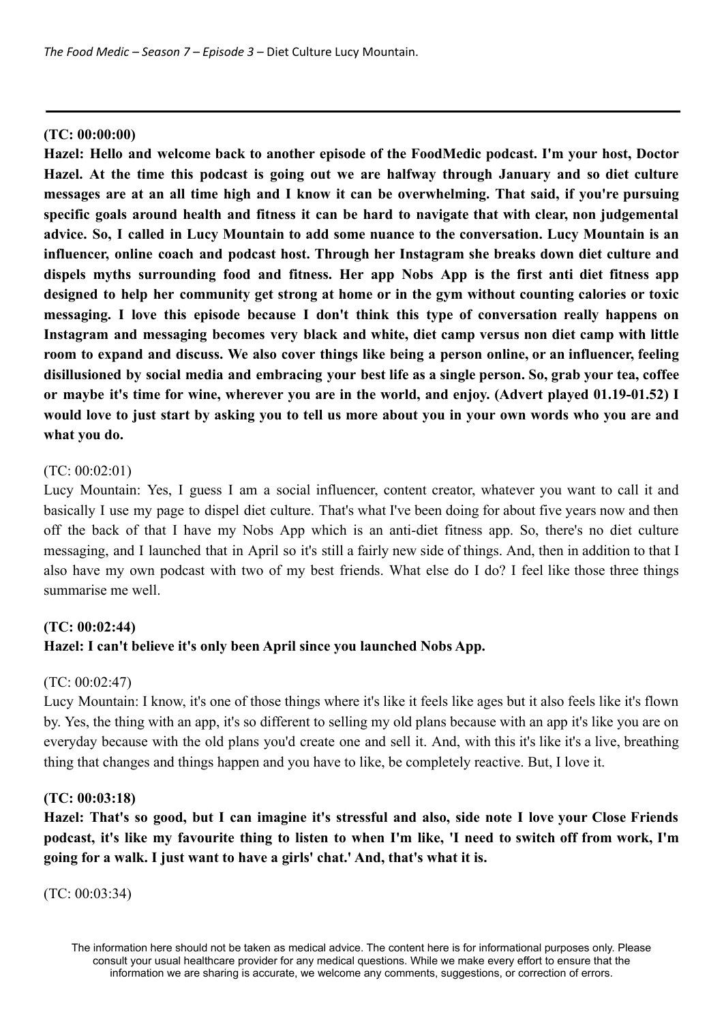### **(TC: 00:00:00)**

**Hazel: Hello and welcome back to another episode of the FoodMedic podcast. I'm your host, Doctor Hazel. At the time this podcast is going out we are halfway through January and so diet culture** messages are at an all time high and I know it can be overwhelming. That said, if you're pursuing **specific goals around health and fitness it can be hard to navigate that with clear, non judgemental advice. So, I called in Lucy Mountain to add some nuance to the conversation. Lucy Mountain is an influencer, online coach and podcast host. Through her Instagram she breaks down diet culture and dispels myths surrounding food and fitness. Her app Nobs App is the first anti diet fitness app designed to help her community get strong at home or in the gym without counting calories or toxic messaging. I love this episode because I don't think this type of conversation really happens on Instagram and messaging becomes very black and white, diet camp versus non diet camp with little** room to expand and discuss. We also cover things like being a person online, or an influencer, feeling disillusioned by social media and embracing your best life as a single person. So, grab your tea, coffee or maybe it's time for wine, wherever you are in the world, and eniov. (Advert played 01.19-01.52) I would love to just start by asking you to tell us more about you in your own words who you are and **what you do.**

# (TC: 00:02:01)

Lucy Mountain: Yes, I guess I am a social influencer, content creator, whatever you want to call it and basically I use my page to dispel diet culture. That's what I've been doing for about five years now and then off the back of that I have my Nobs App which is an anti-diet fitness app. So, there's no diet culture messaging, and I launched that in April so it's still a fairly new side of things. And, then in addition to that I also have my own podcast with two of my best friends. What else do I do? I feel like those three things summarise me well.

# **(TC: 00:02:44) Hazel: I can't believe it's only been April since you launched Nobs App.**

# (TC: 00:02:47)

Lucy Mountain: I know, it's one of those things where it's like it feels like ages but it also feels like it's flown by. Yes, the thing with an app, it's so different to selling my old plans because with an app it's like you are on everyday because with the old plans you'd create one and sell it. And, with this it's like it's a live, breathing thing that changes and things happen and you have to like, be completely reactive. But, I love it.

#### **(TC: 00:03:18)**

Hazel: That's so good, but I can imagine it's stressful and also, side note I love your Close Friends podcast, it's like my favourite thing to listen to when I'm like, 'I need to switch off from work, I'm **going for a walk. I just want to have a girls' chat.' And, that's what it is.**

(TC: 00:03:34)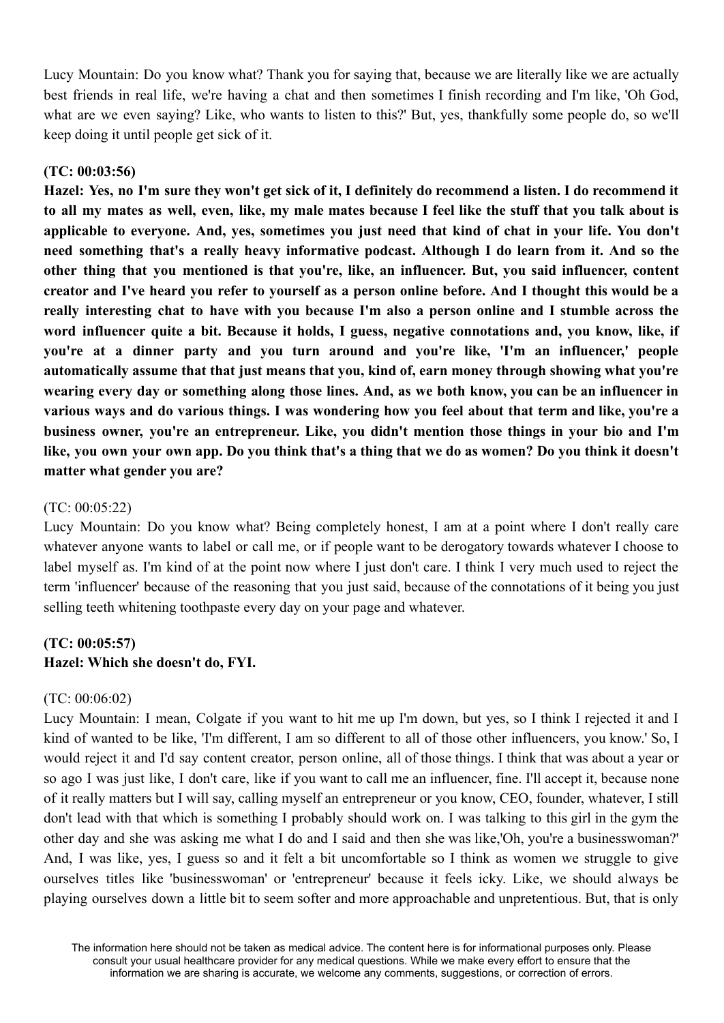Lucy Mountain: Do you know what? Thank you for saying that, because we are literally like we are actually best friends in real life, we're having a chat and then sometimes I finish recording and I'm like, 'Oh God, what are we even saying? Like, who wants to listen to this?' But, yes, thankfully some people do, so we'll keep doing it until people get sick of it.

#### **(TC: 00:03:56)**

Hazel: Yes, no I'm sure they won't get sick of it. I definitely do recommend a listen. I do recommend it to all my mates as well, even, like, my male mates because I feel like the stuff that you talk about is applicable to everyone. And, yes, sometimes you just need that kind of chat in your life. You don't **need something that's a really heavy informative podcast. Although I do learn from it. And so the other thing that you mentioned is that you're, like, an influencer. But, you said influencer, content** creator and I've heard vou refer to vourself as a person online before. And I thought this would be a **really interesting chat to have with you because I'm also a person online and I stumble across the word influencer quite a bit. Because it holds, I guess, negative connotations and, you know, like, if you're at a dinner party and you turn around and you're like, 'I'm an influencer,' people automatically assume that that just means that you, kind of, earn money through showing what you're** wearing every day or something along those lines. And, as we both know, you can be an influencer in various ways and do various things. I was wondering how you feel about that term and like, you're a **business owner, you're an entrepreneur. Like, you didn't mention those things in your bio and I'm** like, you own your own app. Do you think that's a thing that we do as women? Do you think it doesn't **matter what gender you are?**

#### (TC: 00:05:22)

Lucy Mountain: Do you know what? Being completely honest, I am at a point where I don't really care whatever anyone wants to label or call me, or if people want to be derogatory towards whatever I choose to label myself as. I'm kind of at the point now where I just don't care. I think I very much used to reject the term 'influencer' because of the reasoning that you just said, because of the connotations of it being you just selling teeth whitening toothpaste every day on your page and whatever.

#### **(TC: 00:05:57) Hazel: Which she doesn't do, FYI.**

# (TC: 00:06:02)

Lucy Mountain: I mean, Colgate if you want to hit me up I'm down, but yes, so I think I rejected it and I kind of wanted to be like, 'I'm different, I am so different to all of those other influencers, you know.' So, I would reject it and I'd say content creator, person online, all of those things. I think that was about a year or so ago I was just like, I don't care, like if you want to call me an influencer, fine. I'll accept it, because none of it really matters but I will say, calling myself an entrepreneur or you know, CEO, founder, whatever, I still don't lead with that which is something I probably should work on. I was talking to this girl in the gym the other day and she was asking me what I do and I said and then she was like,'Oh, you're a businesswoman?' And, I was like, yes, I guess so and it felt a bit uncomfortable so I think as women we struggle to give ourselves titles like 'businesswoman' or 'entrepreneur' because it feels icky. Like, we should always be playing ourselves down a little bit to seem softer and more approachable and unpretentious. But, that is only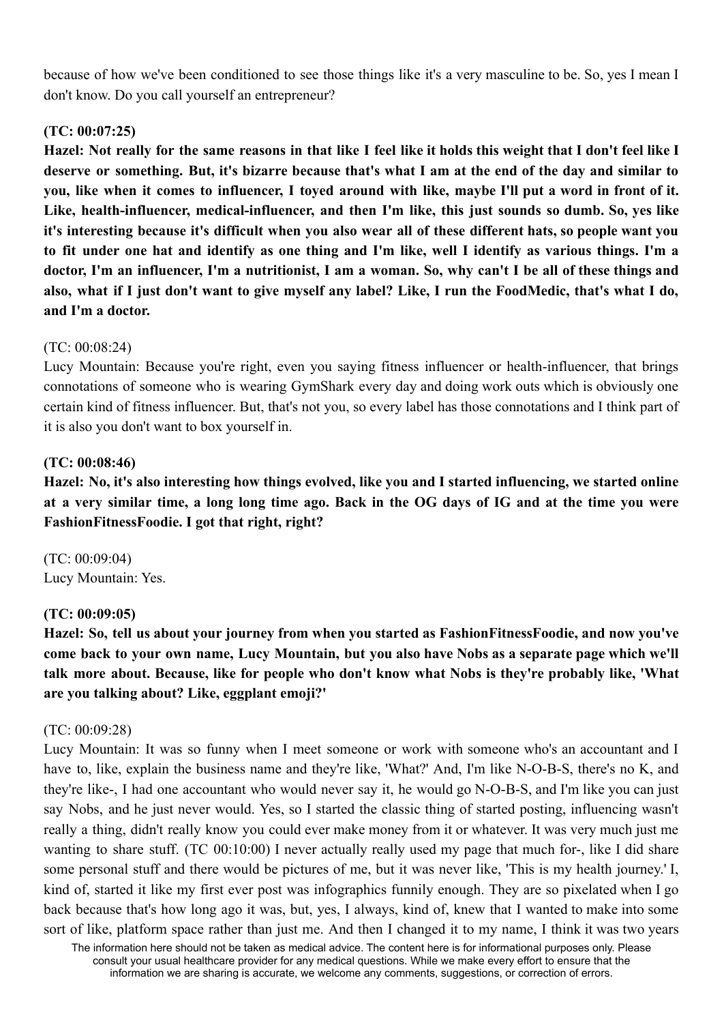because of how we've been conditioned to see those things like it's a very masculine to be. So, yes I mean I don't know. Do you call yourself an entrepreneur?

# **(TC: 00:07:25)**

Hazel: Not really for the same reasons in that like I feel like it holds this weight that I don't feel like I deserve or something. But, it's bizarre because that's what I am at the end of the day and similar to you, like when it comes to influencer. I toved around with like, maybe I'll put a word in front of it. **Like, health-influencer, medical-influencer, and then I'm like, this just sounds so dumb. So, yes like** it's interesting because it's difficult when you also wear all of these different hats, so people want you to fit under one hat and identify as one thing and I'm like, well I identify as various things. I'm a doctor, I'm an influencer, I'm a nutritionist, I am a woman. So, why can't I be all of these things and also, what if I just don't want to give myself any label? Like, I run the FoodMedic, that's what I do, **and I'm a doctor.**

# (TC: 00:08:24)

Lucy Mountain: Because you're right, even you saying fitness influencer or health-influencer, that brings connotations of someone who is wearing GymShark every day and doing work outs which is obviously one certain kind of fitness influencer. But, that's not you, so every label has those connotations and I think part of it is also you don't want to box yourself in.

# **(TC: 00:08:46)**

Hazel: No, it's also interesting how things evolved, like you and I started influencing, we started online at a very similar time, a long long time ago. Back in the OG days of IG and at the time you were **FashionFitnessFoodie. I got that right, right?**

(TC: 00:09:04) Lucy Mountain: Yes.

# **(TC: 00:09:05)**

**Hazel: So, tell us about your journey from when you started as FashionFitnessFoodie, and now you've** come back to your own name, Lucy Mountain, but you also have Nobs as a separate page which we'll **talk more about. Because, like for people who don't know what Nobs is they're probably like, 'What are you talking about? Like, eggplant emoji?'**

# (TC: 00:09:28)

Lucy Mountain: It was so funny when I meet someone or work with someone who's an accountant and I have to, like, explain the business name and they're like, 'What?' And, I'm like N-O-B-S, there's no K, and they're like-, I had one accountant who would never say it, he would go N-O-B-S, and I'm like you can just say Nobs, and he just never would. Yes, so I started the classic thing of started posting, influencing wasn't really a thing, didn't really know you could ever make money from it or whatever. It was very much just me wanting to share stuff. (TC 00:10:00) I never actually really used my page that much for-, like I did share some personal stuff and there would be pictures of me, but it was never like, 'This is my health journey.' I, kind of, started it like my first ever post was infographics funnily enough. They are so pixelated when I go back because that's how long ago it was, but, yes, I always, kind of, knew that I wanted to make into some sort of like, platform space rather than just me. And then I changed it to my name, I think it was two years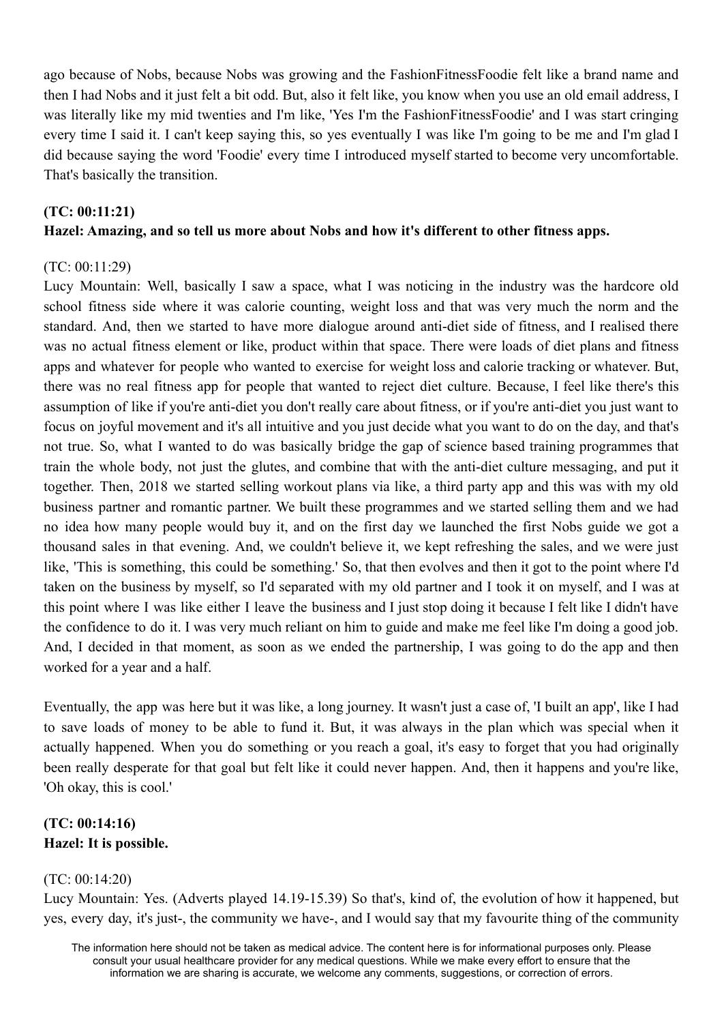ago because of Nobs, because Nobs was growing and the FashionFitnessFoodie felt like a brand name and then I had Nobs and it just felt a bit odd. But, also it felt like, you know when you use an old email address, I was literally like my mid twenties and I'm like, 'Yes I'm the FashionFitnessFoodie' and I was start cringing every time I said it. I can't keep saying this, so yes eventually I was like I'm going to be me and I'm glad I did because saying the word 'Foodie' every time I introduced myself started to become very uncomfortable. That's basically the transition.

# **(TC: 00:11:21) Hazel: Amazing, and so tell us more about Nobs and how it's different to other fitness apps.**

# (TC: 00:11:29)

Lucy Mountain: Well, basically I saw a space, what I was noticing in the industry was the hardcore old school fitness side where it was calorie counting, weight loss and that was very much the norm and the standard. And, then we started to have more dialogue around anti-diet side of fitness, and I realised there was no actual fitness element or like, product within that space. There were loads of diet plans and fitness apps and whatever for people who wanted to exercise for weight loss and calorie tracking or whatever. But, there was no real fitness app for people that wanted to reject diet culture. Because, I feel like there's this assumption of like if you're anti-diet you don't really care about fitness, or if you're anti-diet you just want to focus on joyful movement and it's all intuitive and you just decide what you want to do on the day, and that's not true. So, what I wanted to do was basically bridge the gap of science based training programmes that train the whole body, not just the glutes, and combine that with the anti-diet culture messaging, and put it together. Then, 2018 we started selling workout plans via like, a third party app and this was with my old business partner and romantic partner. We built these programmes and we started selling them and we had no idea how many people would buy it, and on the first day we launched the first Nobs guide we got a thousand sales in that evening. And, we couldn't believe it, we kept refreshing the sales, and we were just like, 'This is something, this could be something.' So, that then evolves and then it got to the point where I'd taken on the business by myself, so I'd separated with my old partner and I took it on myself, and I was at this point where I was like either I leave the business and I just stop doing it because I felt like I didn't have the confidence to do it. I was very much reliant on him to guide and make me feel like I'm doing a good job. And, I decided in that moment, as soon as we ended the partnership, I was going to do the app and then worked for a year and a half.

Eventually, the app was here but it was like, a long journey. It wasn't just a case of, 'I built an app', like I had to save loads of money to be able to fund it. But, it was always in the plan which was special when it actually happened. When you do something or you reach a goal, it's easy to forget that you had originally been really desperate for that goal but felt like it could never happen. And, then it happens and you're like, 'Oh okay, this is cool.'

# **(TC: 00:14:16) Hazel: It is possible.**

# (TC: 00:14:20)

Lucy Mountain: Yes. (Adverts played 14.19-15.39) So that's, kind of, the evolution of how it happened, but yes, every day, it's just-, the community we have-, and I would say that my favourite thing of the community

The information here should not be taken as medical advice. The content here is for informational purposes only. Please consult your usual healthcare provider for any medical questions. While we make every effort to ensure that the information we are sharing is accurate, we welcome any comments, suggestions, or correction of errors.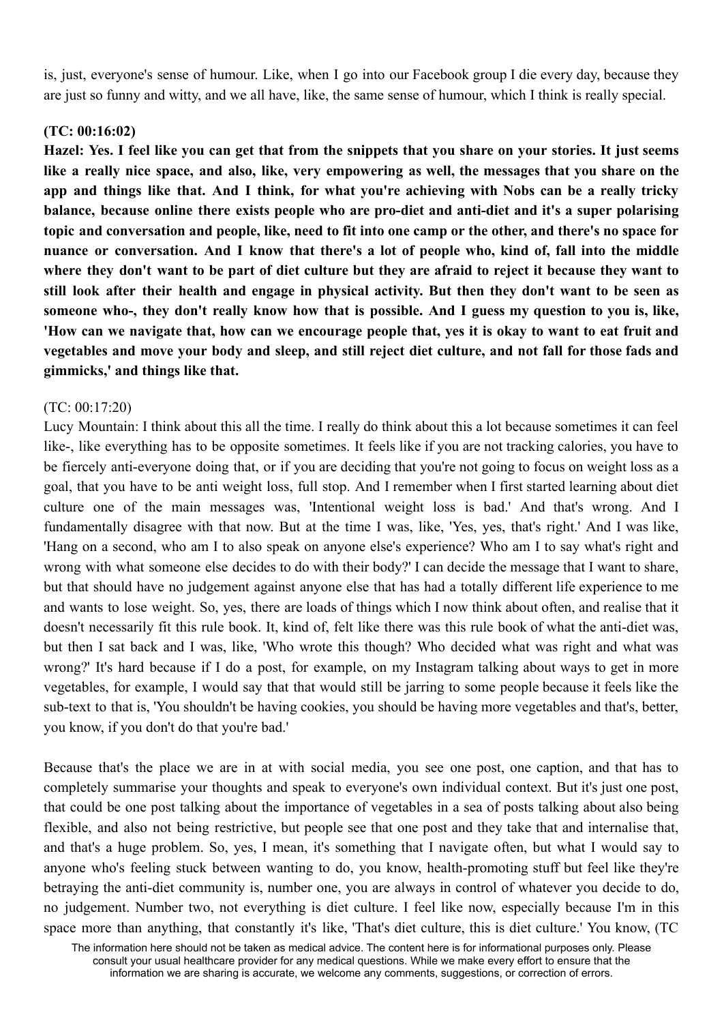is, just, everyone's sense of humour. Like, when I go into our Facebook group I die every day, because they are just so funny and witty, and we all have, like, the same sense of humour, which I think is really special.

## **(TC: 00:16:02)**

Hazel: Yes. I feel like you can get that from the snippets that you share on your stories. It just seems like a really nice space, and also, like, very empowering as well, the messages that you share on the app and things like that. And I think, for what you're achieving with Nobs can be a really tricky **balance, because online there exists people who are pro-diet and anti-diet and it's a super polarising** topic and conversation and people, like, need to fit into one camp or the other, and there's no space for nuance or conversation. And I know that there's a lot of people who, kind of, fall into the middle where they don't want to be part of diet culture but they are afraid to reject it because they want to still look after their health and engage in physical activity. But then they don't want to be seen as someone who-, they don't really know how that is possible. And I guess my question to you is, like, 'How can we navigate that, how can we encourage people that, ves it is okay to want to eat fruit and vegetables and move your body and sleep, and still reject diet culture, and not fall for those fads and **gimmicks,' and things like that.**

### (TC: 00:17:20)

Lucy Mountain: I think about this all the time. I really do think about this a lot because sometimes it can feel like-, like everything has to be opposite sometimes. It feels like if you are not tracking calories, you have to be fiercely anti-everyone doing that, or if you are deciding that you're not going to focus on weight loss as a goal, that you have to be anti weight loss, full stop. And I remember when I first started learning about diet culture one of the main messages was, 'Intentional weight loss is bad.' And that's wrong. And I fundamentally disagree with that now. But at the time I was, like, 'Yes, yes, that's right.' And I was like, 'Hang on a second, who am I to also speak on anyone else's experience? Who am I to say what's right and wrong with what someone else decides to do with their body?' I can decide the message that I want to share, but that should have no judgement against anyone else that has had a totally different life experience to me and wants to lose weight. So, yes, there are loads of things which I now think about often, and realise that it doesn't necessarily fit this rule book. It, kind of, felt like there was this rule book of what the anti-diet was, but then I sat back and I was, like, 'Who wrote this though? Who decided what was right and what was wrong?' It's hard because if I do a post, for example, on my Instagram talking about ways to get in more vegetables, for example, I would say that that would still be jarring to some people because it feels like the sub-text to that is, 'You shouldn't be having cookies, you should be having more vegetables and that's, better, you know, if you don't do that you're bad.'

Because that's the place we are in at with social media, you see one post, one caption, and that has to completely summarise your thoughts and speak to everyone's own individual context. But it's just one post, that could be one post talking about the importance of vegetables in a sea of posts talking about also being flexible, and also not being restrictive, but people see that one post and they take that and internalise that, and that's a huge problem. So, yes, I mean, it's something that I navigate often, but what I would say to anyone who's feeling stuck between wanting to do, you know, health-promoting stuff but feel like they're betraying the anti-diet community is, number one, you are always in control of whatever you decide to do, no judgement. Number two, not everything is diet culture. I feel like now, especially because I'm in this space more than anything, that constantly it's like, 'That's diet culture, this is diet culture.' You know, (TC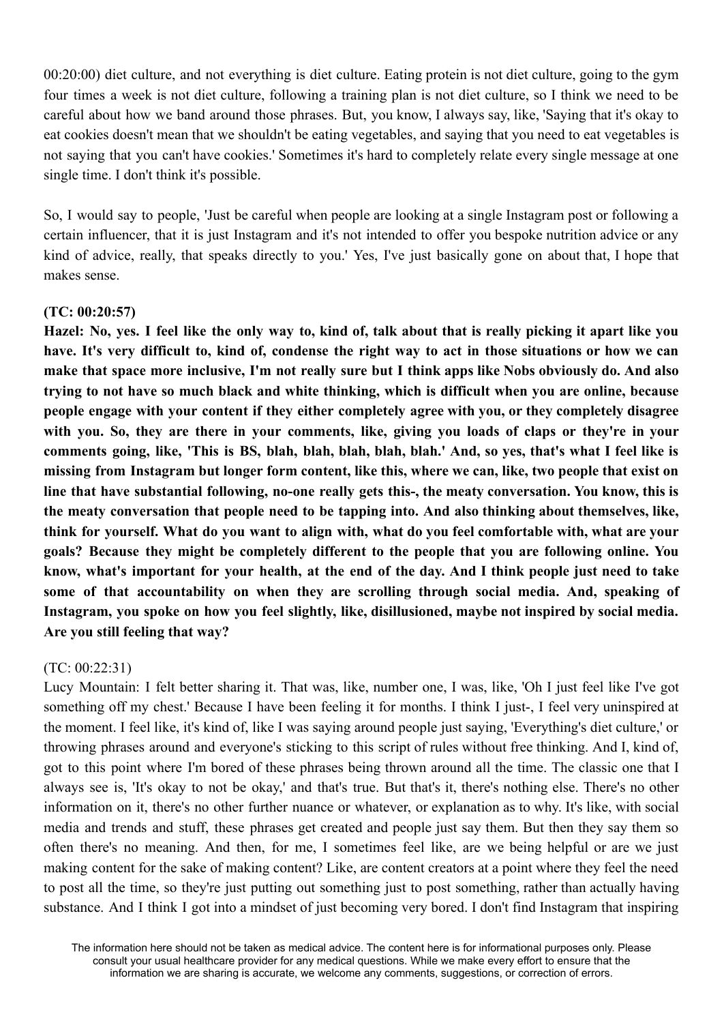00:20:00) diet culture, and not everything is diet culture. Eating protein is not diet culture, going to the gym four times a week is not diet culture, following a training plan is not diet culture, so I think we need to be careful about how we band around those phrases. But, you know, I always say, like, 'Saying that it's okay to eat cookies doesn't mean that we shouldn't be eating vegetables, and saying that you need to eat vegetables is not saying that you can't have cookies.' Sometimes it's hard to completely relate every single message at one single time. I don't think it's possible.

So, I would say to people, 'Just be careful when people are looking at a single Instagram post or following a certain influencer, that it is just Instagram and it's not intended to offer you bespoke nutrition advice or any kind of advice, really, that speaks directly to you.' Yes, I've just basically gone on about that, I hope that makes sense.

# **(TC: 00:20:57)**

Hazel: No, ves. I feel like the only way to, kind of, talk about that is really picking it apart like you have. It's very difficult to, kind of, condense the right way to act in those situations or how we can make that space more inclusive, I'm not really sure but I think apps like Nobs obviously do. And also trying to not have so much black and white thinking, which is difficult when you are online, because **people engage with your content if they either completely agree with you, or they completely disagree** with you. So, they are there in your comments, like, giving you loads of claps or they're in your comments going, like, 'This is BS, blah, blah, blah, blah, blah.' And, so ves, that's what I feel like is missing from Instagram but longer form content, like this, where we can, like, two people that exist on **line that have substantial following, no-one really gets this-, the meaty conversation. You know, this is the meaty conversation that people need to be tapping into. And also thinking about themselves, like,** think for yourself. What do you want to align with, what do you feel comfortable with, what are your **goals? Because they might be completely different to the people that you are following online. You** know, what's important for your health, at the end of the day. And I think people just need to take **some of that accountability on when they are scrolling through social media. And, speaking of Instagram, you spoke on how you feel slightly, like, disillusioned, maybe not inspired by social media. Are you still feeling that way?**

# (TC: 00:22:31)

Lucy Mountain: I felt better sharing it. That was, like, number one, I was, like, 'Oh I just feel like I've got something off my chest.' Because I have been feeling it for months. I think I just-, I feel very uninspired at the moment. I feel like, it's kind of, like I was saying around people just saying, 'Everything's diet culture,' or throwing phrases around and everyone's sticking to this script of rules without free thinking. And I, kind of, got to this point where I'm bored of these phrases being thrown around all the time. The classic one that I always see is, 'It's okay to not be okay,' and that's true. But that's it, there's nothing else. There's no other information on it, there's no other further nuance or whatever, or explanation as to why. It's like, with social media and trends and stuff, these phrases get created and people just say them. But then they say them so often there's no meaning. And then, for me, I sometimes feel like, are we being helpful or are we just making content for the sake of making content? Like, are content creators at a point where they feel the need to post all the time, so they're just putting out something just to post something, rather than actually having substance. And I think I got into a mindset of just becoming very bored. I don't find Instagram that inspiring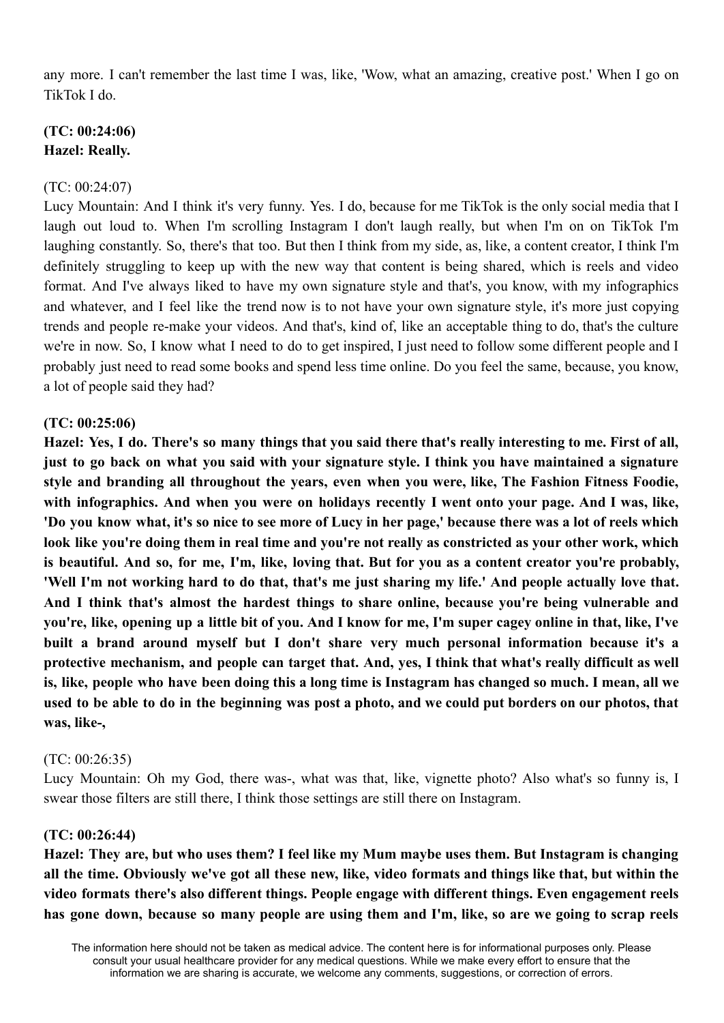any more. I can't remember the last time I was, like, 'Wow, what an amazing, creative post.' When I go on TikTok I do.

# **(TC: 00:24:06) Hazel: Really.**

## (TC: 00:24:07)

Lucy Mountain: And I think it's very funny. Yes. I do, because for me TikTok is the only social media that I laugh out loud to. When I'm scrolling Instagram I don't laugh really, but when I'm on on TikTok I'm laughing constantly. So, there's that too. But then I think from my side, as, like, a content creator, I think I'm definitely struggling to keep up with the new way that content is being shared, which is reels and video format. And I've always liked to have my own signature style and that's, you know, with my infographics and whatever, and I feel like the trend now is to not have your own signature style, it's more just copying trends and people re-make your videos. And that's, kind of, like an acceptable thing to do, that's the culture we're in now. So, I know what I need to do to get inspired, I just need to follow some different people and I probably just need to read some books and spend less time online. Do you feel the same, because, you know, a lot of people said they had?

### **(TC: 00:25:06)**

Hazel: Yes, I do. There's so many things that you said there that's really interesting to me. First of all, just to go back on what you said with your signature style. I think you have maintained a signature **style and branding all throughout the years, even when you were, like, The Fashion Fitness Foodie, with infographics. And when you were on holidays recently I went onto your page. And I was, like,** 'Do you know what, it's so nice to see more of Lucy in her page,' because there was a lot of reels which look like you're doing them in real time and you're not really as constricted as your other work, which is beautiful. And so, for me, I'm, like, loving that. But for you as a content creator you're probably, 'Well I'm not working hard to do that, that's me just sharing my life.' And people actually love that. **And I think that's almost the hardest things to share online, because you're being vulnerable and** you're, like, opening up a little bit of you. And I know for me, I'm super cagey online in that, like, I've **built a brand around myself but I don't share very much personal information because it's a protective mechanism, and people can target that. And, yes, I think that what's really difficult as well** is, like, people who have been doing this a long time is Instagram has changed so much. I mean, all we used to be able to do in the beginning was post a photo, and we could put borders on our photos, that **was, like-,**

#### (TC: 00:26:35)

Lucy Mountain: Oh my God, there was-, what was that, like, vignette photo? Also what's so funny is, I swear those filters are still there, I think those settings are still there on Instagram.

#### **(TC: 00:26:44)**

Hazel: They are, but who uses them? I feel like my Mum maybe uses them. But Instagram is changing all the time. Obviously we've got all these new, like, video formats and things like that, but within the **video formats there's also different things. People engage with different things. Even engagement reels** has gone down, because so many people are using them and I'm, like, so are we going to scrap reels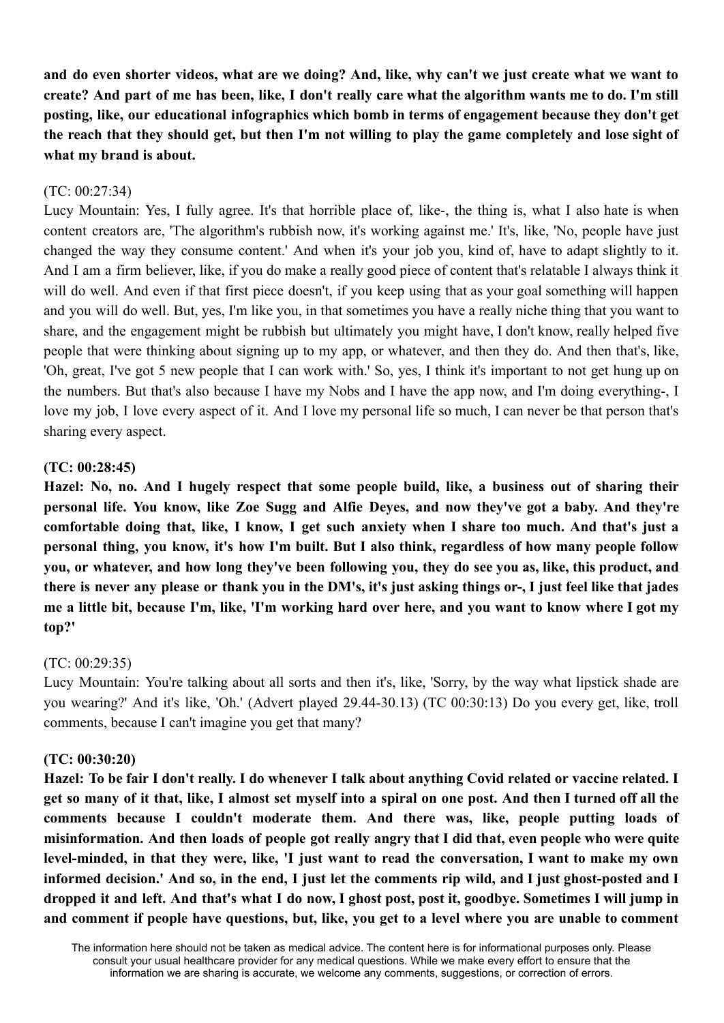and do even shorter videos, what are we doing? And, like, why can't we just create what we want to create? And part of me has been, like, I don't really care what the algorithm wants me to do. I'm still **posting, like, our educational infographics which bomb in terms of engagement because they don't get** the reach that they should get, but then I'm not willing to play the game completely and lose sight of **what my brand is about.**

## (TC: 00:27:34)

Lucy Mountain: Yes, I fully agree. It's that horrible place of, like-, the thing is, what I also hate is when content creators are, 'The algorithm's rubbish now, it's working against me.' It's, like, 'No, people have just changed the way they consume content.' And when it's your job you, kind of, have to adapt slightly to it. And I am a firm believer, like, if you do make a really good piece of content that's relatable I always think it will do well. And even if that first piece doesn't, if you keep using that as your goal something will happen and you will do well. But, yes, I'm like you, in that sometimes you have a really niche thing that you want to share, and the engagement might be rubbish but ultimately you might have, I don't know, really helped five people that were thinking about signing up to my app, or whatever, and then they do. And then that's, like, 'Oh, great, I've got 5 new people that I can work with.' So, yes, I think it's important to not get hung up on the numbers. But that's also because I have my Nobs and I have the app now, and I'm doing everything-, I love my job, I love every aspect of it. And I love my personal life so much, I can never be that person that's sharing every aspect.

#### **(TC: 00:28:45)**

**Hazel: No, no. And I hugely respect that some people build, like, a business out of sharing their personal life. You know, like Zoe Sugg and Alfie Deyes, and now they've got a baby. And they're** comfortable doing that, like, I know, I get such anxiety when I share too much. And that's just a personal thing, you know, it's how I'm built. But I also think, regardless of how many people follow you, or whatever, and how long they've been following you, they do see you as, like, this product, and there is never any please or thank you in the DM's, it's just asking things or-, I just feel like that jades me a little bit, because I'm, like, 'I'm working hard over here, and you want to know where I got my **top?'**

#### (TC: 00:29:35)

Lucy Mountain: You're talking about all sorts and then it's, like, 'Sorry, by the way what lipstick shade are you wearing?' And it's like, 'Oh.' (Advert played 29.44-30.13) (TC 00:30:13) Do you every get, like, troll comments, because I can't imagine you get that many?

#### **(TC: 00:30:20)**

Hazel: To be fair I don't really. I do whenever I talk about anything Covid related or vaccine related. I get so many of it that, like, I almost set myself into a spiral on one post. And then I turned off all the **comments because I couldn't moderate them. And there was, like, people putting loads of** misinformation. And then loads of people got really angry that I did that, even people who were quite level-minded, in that they were, like, 'I just want to read the conversation, I want to make my own informed decision.' And so, in the end, I just let the comments rip wild, and I just ghost-posted and I dropped it and left. And that's what I do now, I ghost post, post it, goodbye. Sometimes I will jump in and comment if people have questions, but, like, you get to a level where you are unable to comment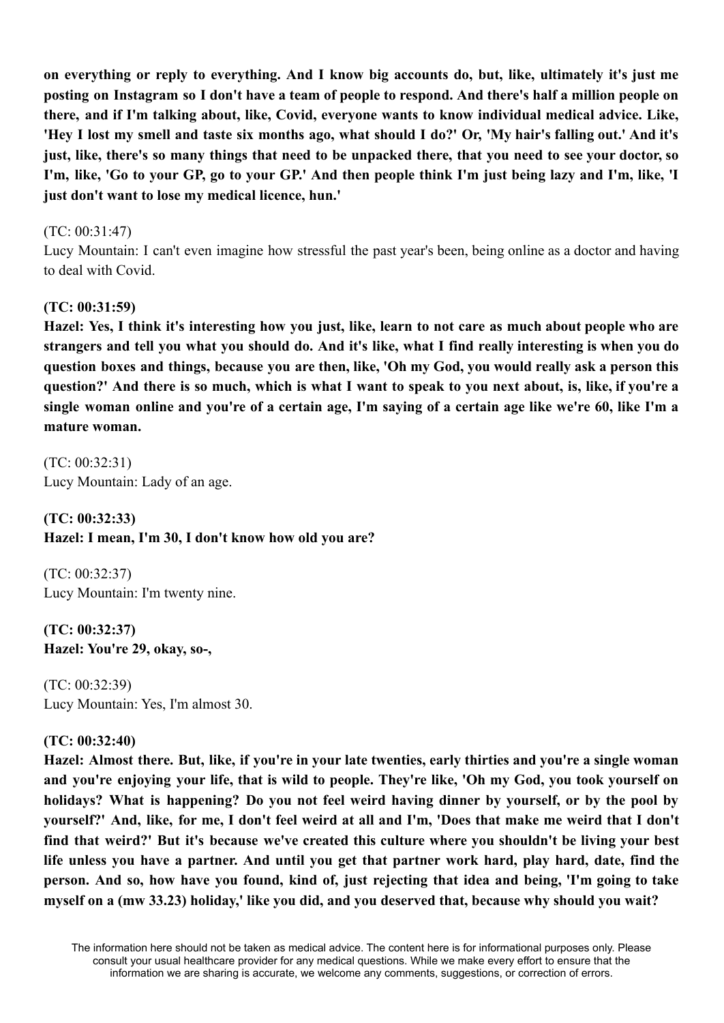on everything or reply to everything. And I know big accounts do, but, like, ultimately it's just me posting on Instagram so I don't have a team of people to respond. And there's half a million people on **there, and if I'm talking about, like, Covid, everyone wants to know individual medical advice. Like,** 'Hev I lost my smell and taste six months ago, what should I do?' Or, 'My hair's falling out,' And it's just, like, there's so many things that need to be unpacked there, that you need to see your doctor, so I'm, like, 'Go to your GP, go to your GP.' And then people think I'm just being lazy and I'm, like, 'I **just don't want to lose my medical licence, hun.'**

### (TC: 00:31:47)

Lucy Mountain: I can't even imagine how stressful the past year's been, being online as a doctor and having to deal with Covid.

### **(TC: 00:31:59)**

Hazel: Yes, I think it's interesting how you just, like, learn to not care as much about people who are strangers and tell vou what vou should do. And it's like, what I find really interesting is when vou do question boxes and things, because you are then, like, 'Oh my God, you would really ask a person this question?' And there is so much, which is what I want to speak to you next about, is, like, if you're a single woman online and vou're of a certain age. I'm saving of a certain age like we're 60, like I'm a **mature woman.**

(TC: 00:32:31) Lucy Mountain: Lady of an age.

**(TC: 00:32:33) Hazel: I mean, I'm 30, I don't know how old you are?**

(TC: 00:32:37) Lucy Mountain: I'm twenty nine.

**(TC: 00:32:37) Hazel: You're 29, okay, so-,**

(TC: 00:32:39) Lucy Mountain: Yes, I'm almost 30.

# **(TC: 00:32:40)**

Hazel: Almost there. But, like, if you're in your late twenties, early thirties and you're a single woman and you're enjoying your life, that is wild to people. They're like, 'Oh my God, you took yourself on **holidays? What is happening? Do you not feel weird having dinner by yourself, or by the pool by** vourself?' And, like, for me, I don't feel weird at all and I'm, 'Does that make me weird that I don't **find that weird?' But it's because we've created this culture where you shouldn't be living your best** life unless you have a partner. And until you get that partner work hard, play hard, date, find the person. And so, how have you found, kind of, just rejecting that idea and being, 'I'm going to take **myself on a (mw 33.23) holiday,' like you did, and you deserved that, because why should you wait?**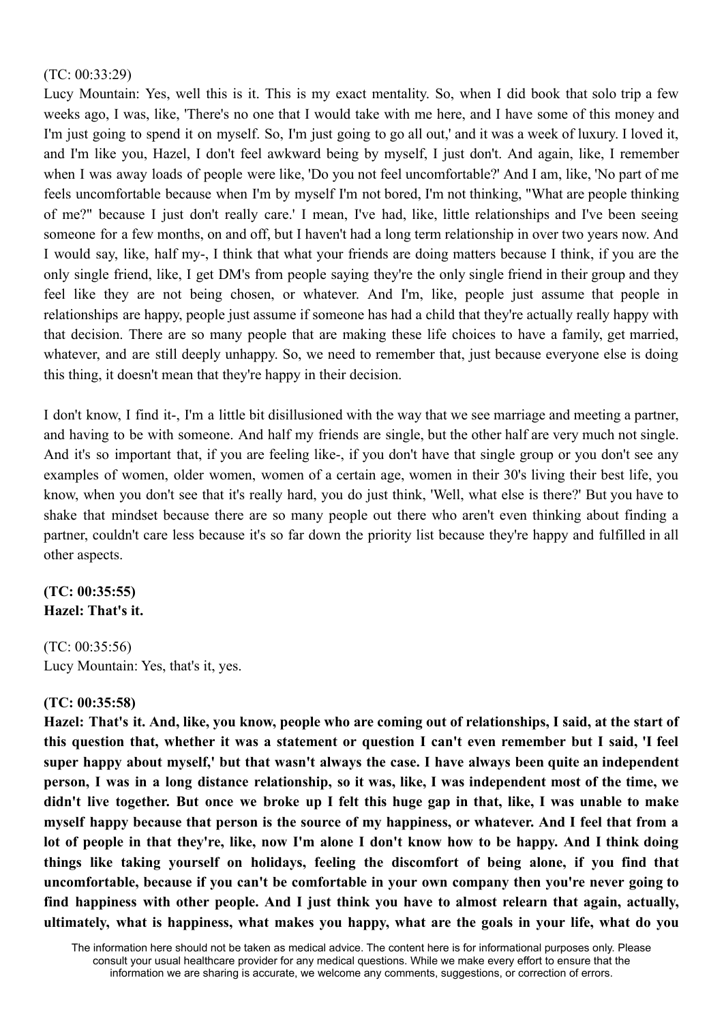### (TC: 00:33:29)

Lucy Mountain: Yes, well this is it. This is my exact mentality. So, when I did book that solo trip a few weeks ago, I was, like, 'There's no one that I would take with me here, and I have some of this money and I'm just going to spend it on myself. So, I'm just going to go all out,' and it was a week of luxury. I loved it, and I'm like you, Hazel, I don't feel awkward being by myself, I just don't. And again, like, I remember when I was away loads of people were like, 'Do you not feel uncomfortable?' And I am, like, 'No part of me feels uncomfortable because when I'm by myself I'm not bored, I'm not thinking, "What are people thinking of me?" because I just don't really care.' I mean, I've had, like, little relationships and I've been seeing someone for a few months, on and off, but I haven't had a long term relationship in over two years now. And I would say, like, half my-, I think that what your friends are doing matters because I think, if you are the only single friend, like, I get DM's from people saying they're the only single friend in their group and they feel like they are not being chosen, or whatever. And I'm, like, people just assume that people in relationships are happy, people just assume if someone has had a child that they're actually really happy with that decision. There are so many people that are making these life choices to have a family, get married, whatever, and are still deeply unhappy. So, we need to remember that, just because everyone else is doing this thing, it doesn't mean that they're happy in their decision.

I don't know, I find it-, I'm a little bit disillusioned with the way that we see marriage and meeting a partner, and having to be with someone. And half my friends are single, but the other half are very much not single. And it's so important that, if you are feeling like-, if you don't have that single group or you don't see any examples of women, older women, women of a certain age, women in their 30's living their best life, you know, when you don't see that it's really hard, you do just think, 'Well, what else is there?' But you have to shake that mindset because there are so many people out there who aren't even thinking about finding a partner, couldn't care less because it's so far down the priority list because they're happy and fulfilled in all other aspects.

# **(TC: 00:35:55) Hazel: That's it.**

(TC: 00:35:56) Lucy Mountain: Yes, that's it, yes.

# **(TC: 00:35:58)**

Hazel: That's it. And, like, you know, people who are coming out of relationships, I said, at the start of this question that, whether it was a statement or question I can't even remember but I said, 'I feel **super happy about myself,' but that wasn't always the case. I have always been quite an independent** person, I was in a long distance relationship, so it was, like, I was independent most of the time, we didn't live together. But once we broke up I felt this huge gap in that, like, I was unable to make myself happy because that person is the source of my happiness, or whatever. And I feel that from a lot of people in that they're, like, now I'm alone I don't know how to be happy. And I think doing **things like taking yourself on holidays, feeling the discomfort of being alone, if you find that uncomfortable, because if you can't be comfortable in your own company then you're never going to find happiness with other people. And I just think you have to almost relearn that again, actually, ultimately, what is happiness, what makes you happy, what are the goals in your life, what do you**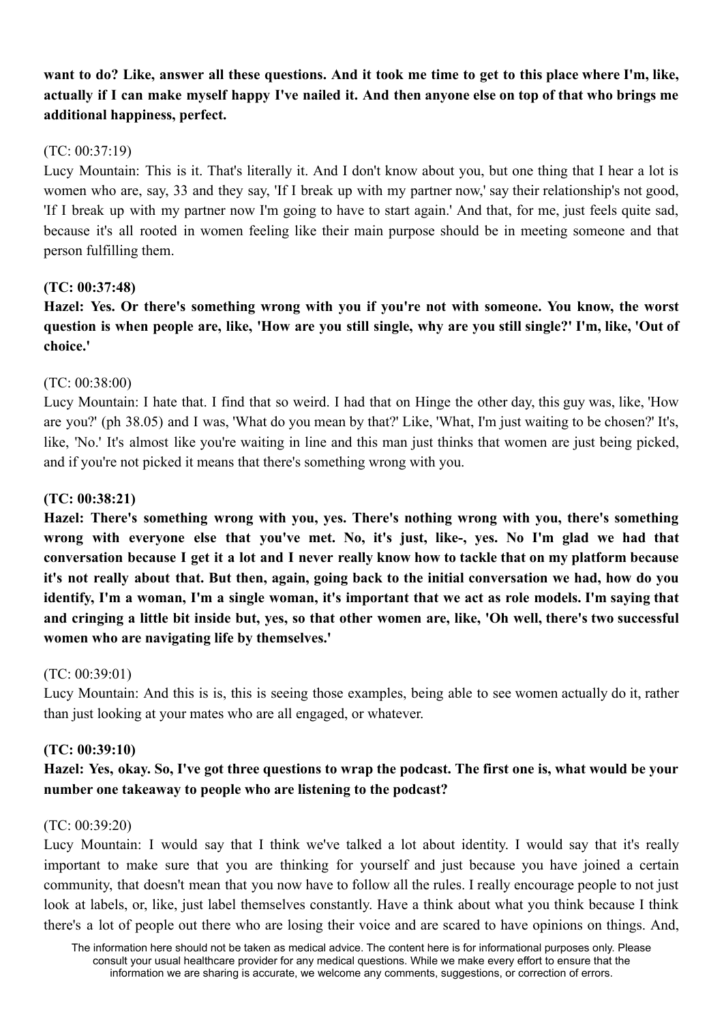want to do? Like, answer all these questions. And it took me time to get to this place where I'm, like, actually if I can make myself happy I've nailed it. And then anyone else on top of that who brings me **additional happiness, perfect.**

# (TC: 00:37:19)

Lucy Mountain: This is it. That's literally it. And I don't know about you, but one thing that I hear a lot is women who are, say, 33 and they say, 'If I break up with my partner now,' say their relationship's not good, 'If I break up with my partner now I'm going to have to start again.' And that, for me, just feels quite sad, because it's all rooted in women feeling like their main purpose should be in meeting someone and that person fulfilling them.

# **(TC: 00:37:48)**

**Hazel: Yes. Or there's something wrong with you if you're not with someone. You know, the worst** question is when people are, like, 'How are you still single, why are you still single?' I'm, like, 'Out of **choice.'**

# (TC: 00:38:00)

Lucy Mountain: I hate that. I find that so weird. I had that on Hinge the other day, this guy was, like, 'How are you?' (ph 38.05) and I was, 'What do you mean by that?' Like, 'What, I'm just waiting to be chosen?' It's, like, 'No.' It's almost like you're waiting in line and this man just thinks that women are just being picked, and if you're not picked it means that there's something wrong with you.

# **(TC: 00:38:21)**

**Hazel: There's something wrong with you, yes. There's nothing wrong with you, there's something wrong with everyone else that you've met. No, it's just, like-, yes. No I'm glad we had that** conversation because I get it a lot and I never really know how to tackle that on my platform because it's not really about that. But then, again, going back to the initial conversation we had, how do you identify, I'm a woman, I'm a single woman, it's important that we act as role models. I'm saying that and cringing a little bit inside but, yes, so that other women are, like, 'Oh well, there's two successful **women who are navigating life by themselves.'**

# (TC: 00:39:01)

Lucy Mountain: And this is is, this is seeing those examples, being able to see women actually do it, rather than just looking at your mates who are all engaged, or whatever.

# **(TC: 00:39:10)**

# Hazel: Yes, okay. So, I've got three questions to wrap the podcast. The first one is, what would be your **number one takeaway to people who are listening to the podcast?**

# (TC: 00:39:20)

Lucy Mountain: I would say that I think we've talked a lot about identity. I would say that it's really important to make sure that you are thinking for yourself and just because you have joined a certain community, that doesn't mean that you now have to follow all the rules. I really encourage people to not just look at labels, or, like, just label themselves constantly. Have a think about what you think because I think there's a lot of people out there who are losing their voice and are scared to have opinions on things. And,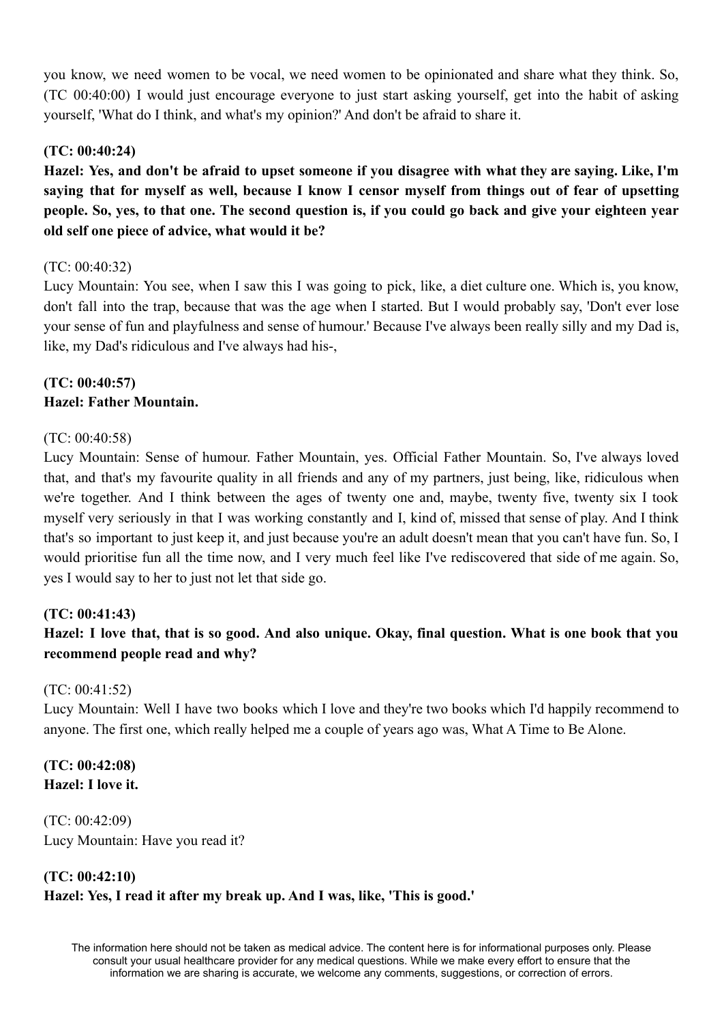you know, we need women to be vocal, we need women to be opinionated and share what they think. So, (TC 00:40:00) I would just encourage everyone to just start asking yourself, get into the habit of asking yourself, 'What do I think, and what's my opinion?' And don't be afraid to share it.

# **(TC: 00:40:24)**

Hazel: Yes, and don't be afraid to upset someone if you disagree with what they are saying. Like, I'm saying that for myself as well, because I know I censor myself from things out of fear of upsetting people. So, yes, to that one. The second question is, if you could go back and give your eighteen year **old self one piece of advice, what would it be?**

# (TC: 00:40:32)

Lucy Mountain: You see, when I saw this I was going to pick, like, a diet culture one. Which is, you know, don't fall into the trap, because that was the age when I started. But I would probably say, 'Don't ever lose your sense of fun and playfulness and sense of humour.' Because I've always been really silly and my Dad is, like, my Dad's ridiculous and I've always had his-,

# **(TC: 00:40:57) Hazel: Father Mountain.**

# (TC: 00:40:58)

Lucy Mountain: Sense of humour. Father Mountain, yes. Official Father Mountain. So, I've always loved that, and that's my favourite quality in all friends and any of my partners, just being, like, ridiculous when we're together. And I think between the ages of twenty one and, maybe, twenty five, twenty six I took myself very seriously in that I was working constantly and I, kind of, missed that sense of play. And I think that's so important to just keep it, and just because you're an adult doesn't mean that you can't have fun. So, I would prioritise fun all the time now, and I very much feel like I've rediscovered that side of me again. So, yes I would say to her to just not let that side go.

# **(TC: 00:41:43)**

# Hazel: I love that, that is so good. And also unique. Okay, final question. What is one book that you **recommend people read and why?**

# (TC: 00:41:52)

Lucy Mountain: Well I have two books which I love and they're two books which I'd happily recommend to anyone. The first one, which really helped me a couple of years ago was, What A Time to Be Alone.

# **(TC: 00:42:08) Hazel: I love it.**

(TC: 00:42:09) Lucy Mountain: Have you read it?

# **(TC: 00:42:10) Hazel: Yes, I read it after my break up. And I was, like, 'This is good.'**

The information here should not be taken as medical advice. The content here is for informational purposes only. Please consult your usual healthcare provider for any medical questions. While we make every effort to ensure that the information we are sharing is accurate, we welcome any comments, suggestions, or correction of errors.